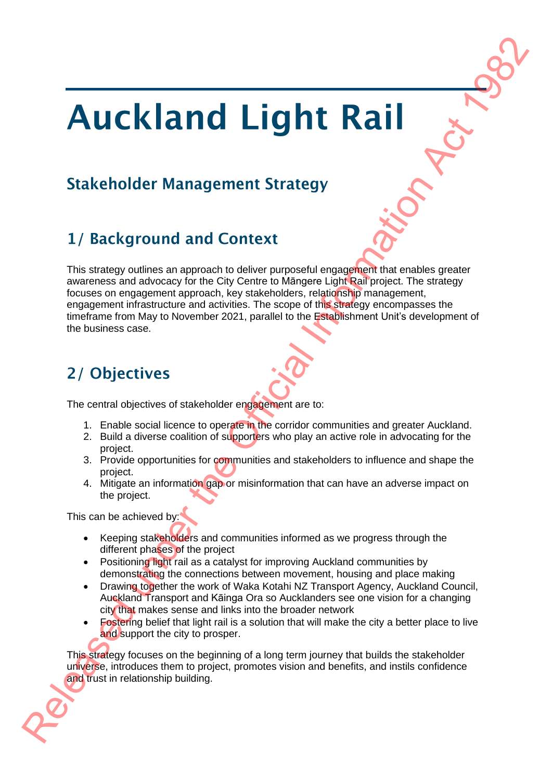This strategy outlines an approach to deliver purposeful engagement that enables greater awareness and advocacy for the City Centre to Māngere Light Rail project. The strategy focuses on engagement approach, key stakeholders, relationship management, engagement infrastructure and activities. The scope of this strategy encompasses the timeframe from May to November 2021, parallel to the Establishment Unit's development of the business case. **Aucuse Controller Controller Controller Controller Controller Controller Controller Controller Controller Controller Controller Controller Controller Controller Controller Controller Controller Controller Controller Cont** 

The central objectives of stakeholder engagement are to:

- 1. Enable social licence to operate in the corridor communities and greater Auckland.
- 2. Build a diverse coalition of supporters who play an active role in advocating for the project.
- 3. Provide opportunities for communities and stakeholders to influence and shape the project.
- 4. Mitigate an information gap or misinformation that can have an adverse impact on the project.

This can be achieved by:

- Keeping stakeholders and communities informed as we progress through the different phases of the project
- Positioning light rail as a catalyst for improving Auckland communities by demonstrating the connections between movement, housing and place making
- Drawing together the work of Waka Kotahi NZ Transport Agency, Auckland Council, Auckland Transport and Kāinga Ora so Aucklanders see one vision for a changing city that makes sense and links into the broader network
- Fostering belief that light rail is a solution that will make the city a better place to live and support the city to prosper.

This strategy focuses on the beginning of a long term journey that builds the stakeholder universe, introduces them to project, promotes vision and benefits, and instils confidence and trust in relationship building.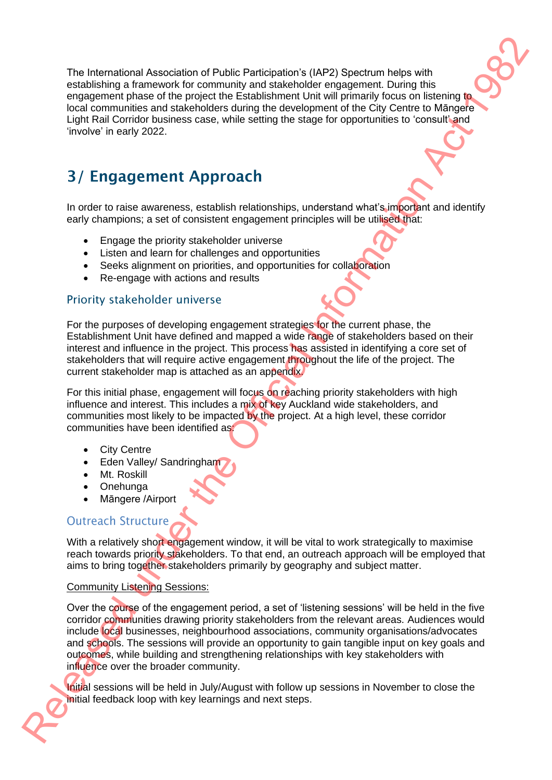The International Association of Public Participation's (IAP2) Spectrum helps with establishing a framework for community and stakeholder engagement. During this engagement phase of the project the Establishment Unit will primarily focus on listening to local communities and stakeholders during the development of the City Centre to Māngere Light Rail Corridor business case, while setting the stage for opportunities to 'consult' and 'involve' in early 2022.

In order to raise awareness, establish relationships, understand what's important and identify early champions; a set of consistent engagement principles will be utilised that:

- Engage the priority stakeholder universe
- Listen and learn for challenges and opportunities
- Seeks alignment on priorities, and opportunities for collaboration
- Re-engage with actions and results

For the purposes of developing engagement strategies for the current phase, the Establishment Unit have defined and mapped a wide range of stakeholders based on their interest and influence in the project. This process has assisted in identifying a core set of stakeholders that will require active engagement throughout the life of the project. The current stakeholder map is attached as an appendix.

For this initial phase, engagement will focus on reaching priority stakeholders with high influence and interest. This includes a mix of key Auckland wide stakeholders, and communities most likely to be impacted by the project. At a high level, these corridor communities have been identified as:

- City Centre
- Eden Valley/ Sandringham
- Mt. Roskill
- Onehunga
- Māngere /Airport

With a relatively short engagement window, it will be vital to work strategically to maximise reach towards priority stakeholders. To that end, an outreach approach will be employed that aims to bring together stakeholders primarily by geography and subject matter.

# Community Listening Sessions:

Over the course of the engagement period, a set of 'listening sessions' will be held in the five corridor communities drawing priority stakeholders from the relevant areas. Audiences would include local businesses, neighbourhood associations, community organisations/advocates and schools. The sessions will provide an opportunity to gain tangible input on key goals and outcomes, while building and strengthening relationships with key stakeholders with influence over the broader community. The International Association of Public Participations (IAP2) Spectrum telps with<br>
establishing a formation for community and statewolder empagnement Curing the<br>
top constraines are assessed the original International Cons

Initial sessions will be held in July/August with follow up sessions in November to close the initial feedback loop with key learnings and next steps.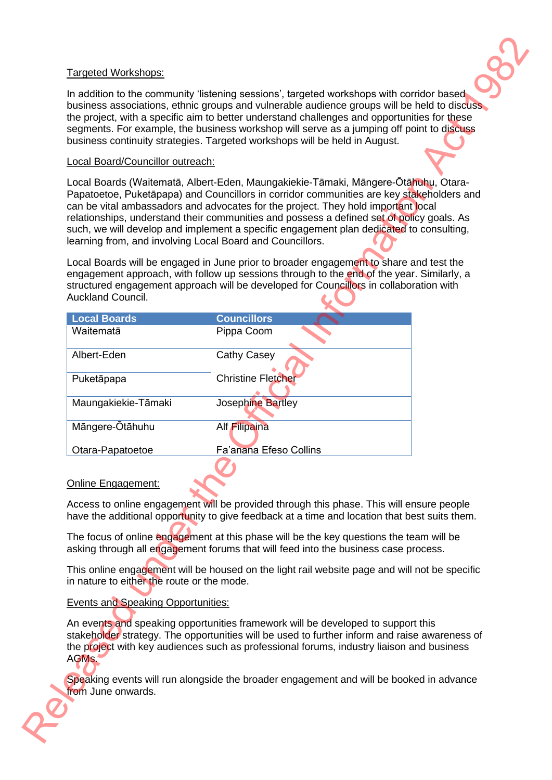# Targeted Workshops:

# Local Board/Councillor outreach:

| Targeted Workshops:                        |                                                                                                                                                                                                                                                                                                                                                                                                                                                                                                                          |  |
|--------------------------------------------|--------------------------------------------------------------------------------------------------------------------------------------------------------------------------------------------------------------------------------------------------------------------------------------------------------------------------------------------------------------------------------------------------------------------------------------------------------------------------------------------------------------------------|--|
|                                            |                                                                                                                                                                                                                                                                                                                                                                                                                                                                                                                          |  |
|                                            | In addition to the community 'listening sessions', targeted workshops with corridor based<br>business associations, ethnic groups and vulnerable audience groups will be held to discuss<br>the project, with a specific aim to better understand challenges and opportunities for these<br>segments. For example, the business workshop will serve as a jumping off point to discuss<br>business continuity strategies. Targeted workshops will be held in August.                                                      |  |
| Local Board/Councillor outreach:           |                                                                                                                                                                                                                                                                                                                                                                                                                                                                                                                          |  |
|                                            | Local Boards (Waitematā, Albert-Eden, Maungakiekie-Tāmaki, Māngere-Ōtāhuhu, Otara-<br>Papatoetoe, Puketāpapa) and Councillors in corridor communities are key stakeholders and<br>can be vital ambassadors and advocates for the project. They hold important local<br>relationships, understand their communities and possess a defined set of policy goals. As<br>such, we will develop and implement a specific engagement plan dedicated to consulting,<br>learning from, and involving Local Board and Councillors. |  |
| <b>Auckland Council.</b>                   | Local Boards will be engaged in June prior to broader engagement to share and test the<br>engagement approach, with follow up sessions through to the end of the year. Similarly, a<br>structured engagement approach will be developed for Councillors in collaboration with                                                                                                                                                                                                                                            |  |
| <b>Local Boards</b>                        | <b>Councillors</b>                                                                                                                                                                                                                                                                                                                                                                                                                                                                                                       |  |
| Waitematā                                  | Pippa Coom                                                                                                                                                                                                                                                                                                                                                                                                                                                                                                               |  |
| Albert-Eden                                | <b>Cathy Casey</b>                                                                                                                                                                                                                                                                                                                                                                                                                                                                                                       |  |
| Puketāpapa                                 | <b>Christine Fletcher</b>                                                                                                                                                                                                                                                                                                                                                                                                                                                                                                |  |
| Maungakiekie-Tāmaki                        | Josephine Bartley                                                                                                                                                                                                                                                                                                                                                                                                                                                                                                        |  |
| Māngere-Ōtāhuhu                            | Alf Filipaina                                                                                                                                                                                                                                                                                                                                                                                                                                                                                                            |  |
| Otara-Papatoetoe                           | Fa'anana Efeso Collins                                                                                                                                                                                                                                                                                                                                                                                                                                                                                                   |  |
|                                            |                                                                                                                                                                                                                                                                                                                                                                                                                                                                                                                          |  |
| Online Engagement:                         |                                                                                                                                                                                                                                                                                                                                                                                                                                                                                                                          |  |
|                                            | Access to online engagement will be provided through this phase. This will ensure people<br>have the additional opportunity to give feedback at a time and location that best suits them.                                                                                                                                                                                                                                                                                                                                |  |
|                                            | The focus of online engagement at this phase will be the key questions the team will be<br>asking through all engagement forums that will feed into the business case process.                                                                                                                                                                                                                                                                                                                                           |  |
| in nature to either the route or the mode. | This online engagement will be housed on the light rail website page and will not be specific                                                                                                                                                                                                                                                                                                                                                                                                                            |  |
| <b>Events and Speaking Opportunities:</b>  |                                                                                                                                                                                                                                                                                                                                                                                                                                                                                                                          |  |
| AGM <sub>s.</sub>                          | An events and speaking opportunities framework will be developed to support this<br>stakeholder strategy. The opportunities will be used to further inform and raise awareness of<br>the project with key audiences such as professional forums, industry liaison and business                                                                                                                                                                                                                                           |  |
| from June onwards.                         | Speaking events will run alongside the broader engagement and will be booked in advance                                                                                                                                                                                                                                                                                                                                                                                                                                  |  |
|                                            |                                                                                                                                                                                                                                                                                                                                                                                                                                                                                                                          |  |

## Online Engagement:

# Events and Speaking Opportunities: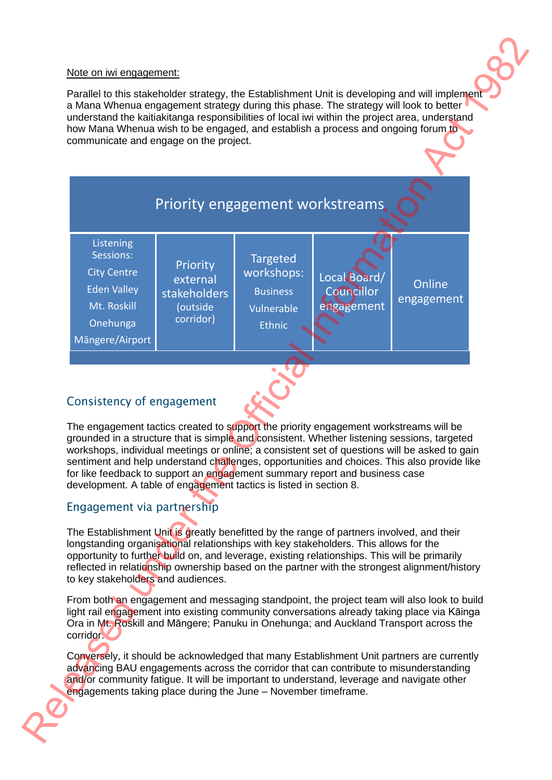## Note on iwi engagement:

| a Mana Whenua engagement strategy during this phase. The strategy will look to better                                                                                                                                                                                                                                                                                                                                                                                                                                                     |                                 |                               |                            | Parallel to this stakeholder strategy, the Establishment Unit is developing and will implement |
|-------------------------------------------------------------------------------------------------------------------------------------------------------------------------------------------------------------------------------------------------------------------------------------------------------------------------------------------------------------------------------------------------------------------------------------------------------------------------------------------------------------------------------------------|---------------------------------|-------------------------------|----------------------------|------------------------------------------------------------------------------------------------|
| understand the kaitiakitanga responsibilities of local iwi within the project area, understand<br>how Mana Whenua wish to be engaged, and establish a process and ongoing forum to                                                                                                                                                                                                                                                                                                                                                        |                                 |                               |                            |                                                                                                |
| communicate and engage on the project.                                                                                                                                                                                                                                                                                                                                                                                                                                                                                                    |                                 |                               |                            |                                                                                                |
|                                                                                                                                                                                                                                                                                                                                                                                                                                                                                                                                           |                                 |                               |                            |                                                                                                |
|                                                                                                                                                                                                                                                                                                                                                                                                                                                                                                                                           | Priority engagement workstreams |                               |                            |                                                                                                |
| Listening                                                                                                                                                                                                                                                                                                                                                                                                                                                                                                                                 |                                 |                               |                            |                                                                                                |
| Sessions:<br><b>City Centre</b>                                                                                                                                                                                                                                                                                                                                                                                                                                                                                                           | Priority                        | <b>Targeted</b><br>workshops: |                            |                                                                                                |
| <b>Eden Valley</b>                                                                                                                                                                                                                                                                                                                                                                                                                                                                                                                        | external<br>stakeholders        | <b>Business</b>               | Local Board/<br>Councillor | Online                                                                                         |
| Mt. Roskill                                                                                                                                                                                                                                                                                                                                                                                                                                                                                                                               | (outside                        | Vulnerable                    | engagement                 | engagement                                                                                     |
| Onehunga                                                                                                                                                                                                                                                                                                                                                                                                                                                                                                                                  | corridor)                       | <b>Ethnic</b>                 |                            |                                                                                                |
| Mängere/Airport                                                                                                                                                                                                                                                                                                                                                                                                                                                                                                                           |                                 |                               |                            |                                                                                                |
|                                                                                                                                                                                                                                                                                                                                                                                                                                                                                                                                           |                                 |                               |                            |                                                                                                |
| The engagement tactics created to support the priority engagement workstreams will be<br>grounded in a structure that is simple and consistent. Whether listening sessions, targeted<br>workshops, individual meetings or online; a consistent set of questions will be asked to gain<br>sentiment and help understand challenges, opportunities and choices. This also provide like<br>for like feedback to support an engagement summary report and business case<br>development. A table of engagement tactics is listed in section 8. |                                 |                               |                            |                                                                                                |
| Engagement via partnership                                                                                                                                                                                                                                                                                                                                                                                                                                                                                                                |                                 |                               |                            |                                                                                                |
| The Establishment Unit is greatly benefitted by the range of partners involved, and their<br>longstanding organisational relationships with key stakeholders. This allows for the<br>opportunity to further build on, and leverage, existing relationships. This will be primarily<br>reflected in relationship ownership based on the partner with the strongest alignment/history<br>to key stakeholders and audiences.                                                                                                                 |                                 |                               |                            |                                                                                                |
| From both an engagement and messaging standpoint, the project team will also look to build<br>light rail engagement into existing community conversations already taking place via Kāinga<br>Ora in Mt. Roskill and Mängere; Panuku in Onehunga; and Auckland Transport across the<br>corridor.                                                                                                                                                                                                                                           |                                 |                               |                            |                                                                                                |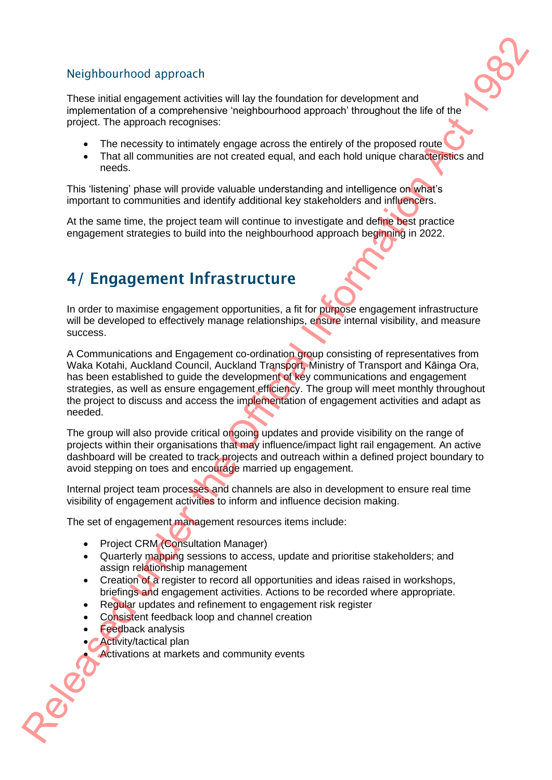These initial engagement activities will lay the foundation for development and implementation of a comprehensive 'neighbourhood approach' throughout the life of the project. The approach recognises:

- The necessity to intimately engage across the entirely of the proposed route
- That all communities are not created equal, and each hold unique characteristics and needs.

This 'listening' phase will provide valuable understanding and intelligence on what's important to communities and identify additional key stakeholders and influencers.

At the same time, the project team will continue to investigate and define best practice engagement strategies to build into the neighbourhood approach beginning in 2022.

In order to maximise engagement opportunities, a fit for purpose engagement infrastructure will be developed to effectively manage relationships, ensure internal visibility, and measure success.

A Communications and Engagement co-ordination group consisting of representatives from Waka Kotahi, Auckland Council, Auckland Transport, Ministry of Transport and Kāinga Ora, has been established to guide the development of key communications and engagement strategies, as well as ensure engagement efficiency. The group will meet monthly throughout the project to discuss and access the implementation of engagement activities and adapt as needed. Neighbourhood approach<br>
These initial engagement astrolles will lay the doubtlabloo for development and<br>
interaction of a compression and compression of a compression of a compression of a compression of a compression of

The group will also provide critical ongoing updates and provide visibility on the range of projects within their organisations that may influence/impact light rail engagement. An active dashboard will be created to track projects and outreach within a defined project boundary to avoid stepping on toes and encourage married up engagement.

Internal project team processes and channels are also in development to ensure real time visibility of engagement activities to inform and influence decision making.

The set of engagement management resources items include:

- Project CRM (Consultation Manager)
- Quarterly mapping sessions to access, update and prioritise stakeholders; and assign relationship management
- Creation of a register to record all opportunities and ideas raised in workshops, briefings and engagement activities. Actions to be recorded where appropriate.
- Regular updates and refinement to engagement risk register
- Consistent feedback loop and channel creation
- **Feedback analysis**
- **Activity/tactical plan**
- Activations at markets and community events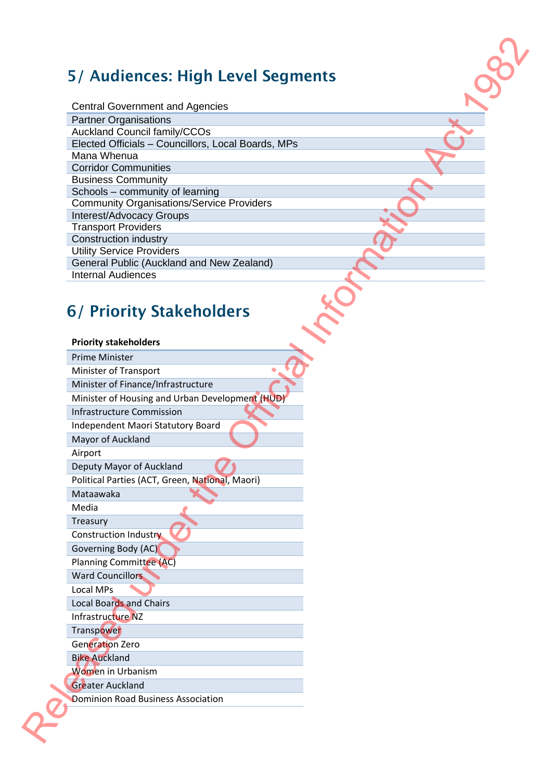| <b>Central Government and Agencies</b>             |
|----------------------------------------------------|
| <b>Partner Organisations</b>                       |
| <b>Auckland Council family/CCOs</b>                |
| Elected Officials - Councillors, Local Boards, MPs |
| Mana Whenua                                        |
| <b>Corridor Communities</b>                        |
| <b>Business Community</b>                          |
| Schools – community of learning                    |
| <b>Community Organisations/Service Providers</b>   |
| Interest/Advocacy Groups                           |
| <b>Transport Providers</b>                         |
| Construction industry                              |
| <b>Utility Service Providers</b>                   |
| General Public (Auckland and New Zealand)          |
| Internal Audiences                                 |

# **Priority stakeholders**

| <b>Central Government and Agencies</b><br><b>Partner Organisations</b>              |  |
|-------------------------------------------------------------------------------------|--|
| <b>Auckland Council family/CCOs</b>                                                 |  |
| Elected Officials - Councillors, Local Boards, MPs                                  |  |
| Mana Whenua                                                                         |  |
| <b>Corridor Communities</b>                                                         |  |
| <b>Business Community</b>                                                           |  |
| Schools - community of learning                                                     |  |
| <b>Community Organisations/Service Providers</b>                                    |  |
| Interest/Advocacy Groups<br><b>Transport Providers</b>                              |  |
| <b>Construction industry</b>                                                        |  |
| <b>Utility Service Providers</b>                                                    |  |
| General Public (Auckland and New Zealand)                                           |  |
| <b>Internal Audiences</b>                                                           |  |
| Prime Minister                                                                      |  |
| Minister of Transport                                                               |  |
| Minister of Finance/Infrastructure                                                  |  |
|                                                                                     |  |
|                                                                                     |  |
| Minister of Housing and Urban Development (HUD)<br><b>Infrastructure Commission</b> |  |
|                                                                                     |  |
| Independent Maori Statutory Board<br>Mayor of Auckland                              |  |
| Airport                                                                             |  |
| Deputy Mayor of Auckland                                                            |  |
| Political Parties (ACT, Green, National, Maori)                                     |  |
| Mataawaka                                                                           |  |
| Media                                                                               |  |
| Treasury                                                                            |  |
| Construction Industry                                                               |  |
| Governing Body (AC)                                                                 |  |
| <b>Planning Committee (AC)</b>                                                      |  |
| <b>Ward Councillors</b>                                                             |  |
| Local MPs                                                                           |  |
| <b>Local Boards and Chairs</b>                                                      |  |
| Infrastructure NZ                                                                   |  |
| Transpower                                                                          |  |
| <b>Generation Zero</b>                                                              |  |
| <b>Bike Auckland</b>                                                                |  |
| Women in Urbanism<br><b>Greater Auckland</b>                                        |  |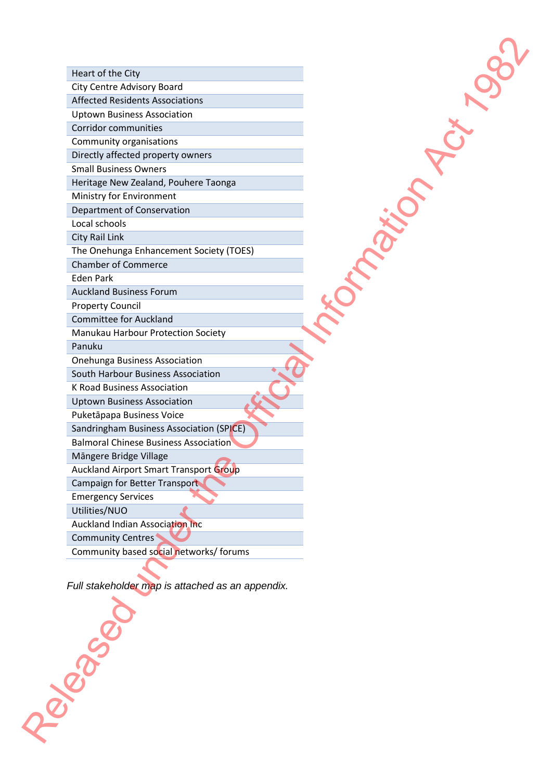*Full stakeholder map is attached as an appendix.*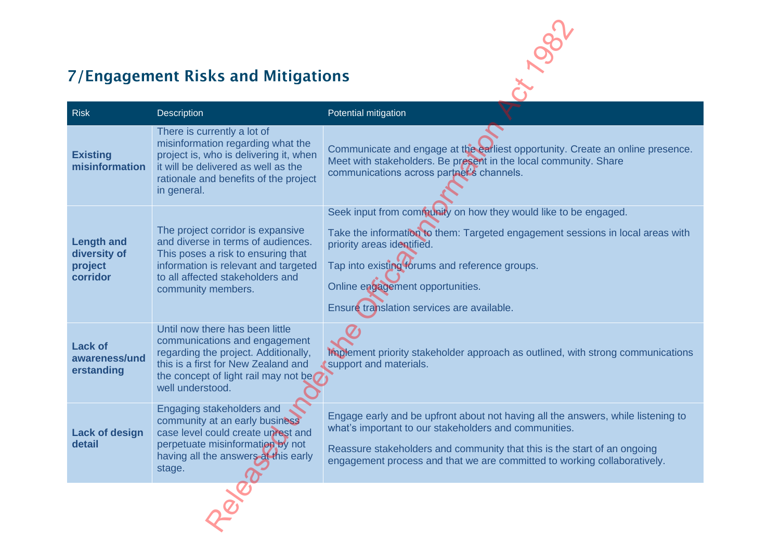|                                                          | <b>7/Engagement Risks and Mitigations</b>                                                                                                                                                                       |                                                                                                                                                                                                                                                                                                   |
|----------------------------------------------------------|-----------------------------------------------------------------------------------------------------------------------------------------------------------------------------------------------------------------|---------------------------------------------------------------------------------------------------------------------------------------------------------------------------------------------------------------------------------------------------------------------------------------------------|
|                                                          |                                                                                                                                                                                                                 |                                                                                                                                                                                                                                                                                                   |
| <b>Risk</b>                                              | <b>Description</b><br>There is currently a lot of                                                                                                                                                               | Potential mitigation                                                                                                                                                                                                                                                                              |
| <b>Existing</b><br>misinformation                        | misinformation regarding what the<br>project is, who is delivering it, when<br>it will be delivered as well as the<br>rationale and benefits of the project<br>in general.                                      | Communicate and engage at the earliest opportunity. Create an online presence.<br>Meet with stakeholders. Be present in the local community. Share<br>communications across partner's channels.                                                                                                   |
|                                                          |                                                                                                                                                                                                                 | Seek input from community on how they would like to be engaged.                                                                                                                                                                                                                                   |
| <b>Length and</b><br>diversity of<br>project<br>corridor | The project corridor is expansive<br>and diverse in terms of audiences.<br>This poses a risk to ensuring that<br>information is relevant and targeted<br>to all affected stakeholders and<br>community members. | Take the information to them: Targeted engagement sessions in local areas with<br>priority areas identified.<br>Tap into existing forums and reference groups.<br>Online engagement opportunities.<br>Ensure translation services are available.                                                  |
| <b>Lack of</b><br>awareness/und<br>erstanding            | Until now there has been little<br>communications and engagement<br>regarding the project. Additionally,<br>this is a first for New Zealand and<br>the concept of light rail may not be<br>well understood.     | Implement priority stakeholder approach as outlined, with strong communications<br>support and materials.                                                                                                                                                                                         |
| <b>Lack of design</b><br>detail                          | Engaging stakeholders and<br>community at an early business'<br>case level could create unrest and<br>perpetuate misinformation by not<br>having all the answers at this early<br>stage.                        | Engage early and be upfront about not having all the answers, while listening to<br>what's important to our stakeholders and communities.<br>Reassure stakeholders and community that this is the start of an ongoing<br>engagement process and that we are committed to working collaboratively. |
|                                                          |                                                                                                                                                                                                                 |                                                                                                                                                                                                                                                                                                   |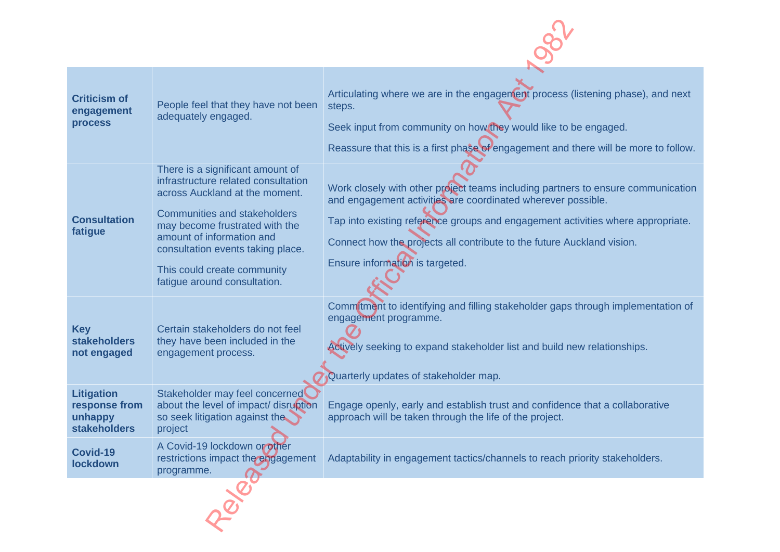| <b>Criticism of</b><br>engagement<br><b>process</b>                  | People feel that they have not been<br>adequately engaged.                                                                                                                                                                                                                                                          | Articulating where we are in the engagement process (listening phase), and next<br>steps.<br>Seek input from community on how they would like to be engaged.<br>Reassure that this is a first phase of engagement and there will be more to follow.                                                                                              |
|----------------------------------------------------------------------|---------------------------------------------------------------------------------------------------------------------------------------------------------------------------------------------------------------------------------------------------------------------------------------------------------------------|--------------------------------------------------------------------------------------------------------------------------------------------------------------------------------------------------------------------------------------------------------------------------------------------------------------------------------------------------|
| <b>Consultation</b><br>fatigue                                       | There is a significant amount of<br>infrastructure related consultation<br>across Auckland at the moment.<br><b>Communities and stakeholders</b><br>may become frustrated with the<br>amount of information and<br>consultation events taking place.<br>This could create community<br>fatigue around consultation. | Work closely with other project teams including partners to ensure communication<br>and engagement activities are coordinated wherever possible.<br>Tap into existing reference groups and engagement activities where appropriate.<br>Connect how the projects all contribute to the future Auckland vision.<br>Ensure information is targeted. |
| <b>Key</b><br><b>stakeholders</b><br>not engaged                     | Certain stakeholders do not feel<br>they have been included in the<br>engagement process.                                                                                                                                                                                                                           | Commitment to identifying and filling stakeholder gaps through implementation of<br>engagement programme.<br>Actively seeking to expand stakeholder list and build new relationships.<br>Quarterly updates of stakeholder map.                                                                                                                   |
| <b>Litigation</b><br>response from<br>unhappy<br><b>stakeholders</b> | Stakeholder may feel concerned<br>about the level of impact/ disruption<br>so seek litigation against the<br>project                                                                                                                                                                                                | Engage openly, early and establish trust and confidence that a collaborative<br>approach will be taken through the life of the project.                                                                                                                                                                                                          |
| Covid-19<br>lockdown                                                 | A Covid-19 lockdown or other<br>restrictions impact the engagement<br>programme.                                                                                                                                                                                                                                    | Adaptability in engagement tactics/channels to reach priority stakeholders.                                                                                                                                                                                                                                                                      |
|                                                                      |                                                                                                                                                                                                                                                                                                                     |                                                                                                                                                                                                                                                                                                                                                  |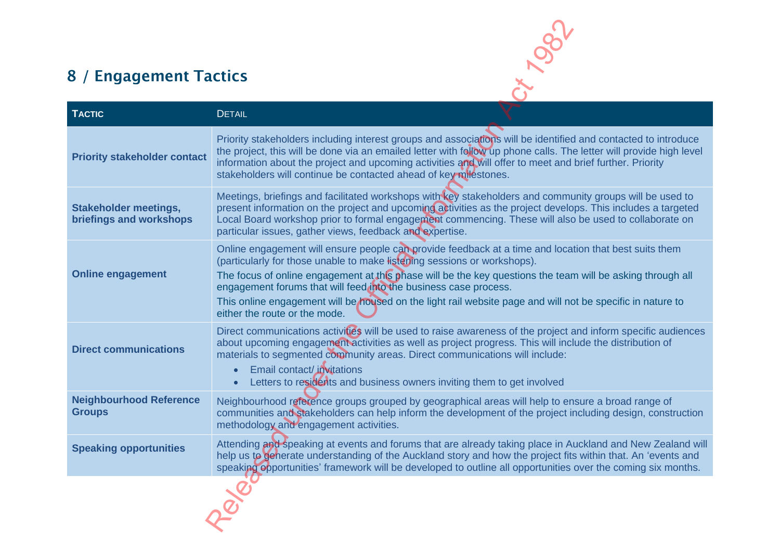| 8 / Engagement Tactics                                  |                                                                                                                                                                                                                                                                                                                                                                                                                                                                                                                    |
|---------------------------------------------------------|--------------------------------------------------------------------------------------------------------------------------------------------------------------------------------------------------------------------------------------------------------------------------------------------------------------------------------------------------------------------------------------------------------------------------------------------------------------------------------------------------------------------|
| <b>TACTIC</b>                                           | <b>DETAIL</b>                                                                                                                                                                                                                                                                                                                                                                                                                                                                                                      |
| <b>Priority stakeholder contact</b>                     | Priority stakeholders including interest groups and associations will be identified and contacted to introduce<br>the project, this will be done via an emailed letter with follow up phone calls. The letter will provide high level<br>information about the project and upcoming activities and will offer to meet and brief further. Priority<br>stakeholders will continue be contacted ahead of key milestones.                                                                                              |
| <b>Stakeholder meetings,</b><br>briefings and workshops | Meetings, briefings and facilitated workshops with key stakeholders and community groups will be used to<br>present information on the project and upcoming activities as the project develops. This includes a targeted<br>Local Board workshop prior to formal engagement commencing. These will also be used to collaborate on<br>particular issues, gather views, feedback and expertise.                                                                                                                      |
| <b>Online engagement</b>                                | Online engagement will ensure people can provide feedback at a time and location that best suits them<br>(particularly for those unable to make listening sessions or workshops).<br>The focus of online engagement at this phase will be the key questions the team will be asking through all<br>engagement forums that will feed into the business case process.<br>This online engagement will be housed on the light rail website page and will not be specific in nature to<br>either the route or the mode. |
| <b>Direct communications</b>                            | Direct communications activities will be used to raise awareness of the project and inform specific audiences<br>about upcoming engagement activities as well as project progress. This will include the distribution of<br>materials to segmented community areas. Direct communications will include:<br>Email contact/ invitations<br>$\bullet$<br>Letters to residents and business owners inviting them to get involved<br>$\bullet$                                                                          |
| <b>Neighbourhood Reference</b><br><b>Groups</b>         | Neighbourhood reference groups grouped by geographical areas will help to ensure a broad range of<br>communities and stakeholders can help inform the development of the project including design, construction<br>methodology and engagement activities.                                                                                                                                                                                                                                                          |
| <b>Speaking opportunities</b>                           | Attending and speaking at events and forums that are already taking place in Auckland and New Zealand will<br>help us to generate understanding of the Auckland story and how the project fits within that. An 'events and<br>speaking opportunities' framework will be developed to outline all opportunities over the coming six months.                                                                                                                                                                         |
|                                                         |                                                                                                                                                                                                                                                                                                                                                                                                                                                                                                                    |